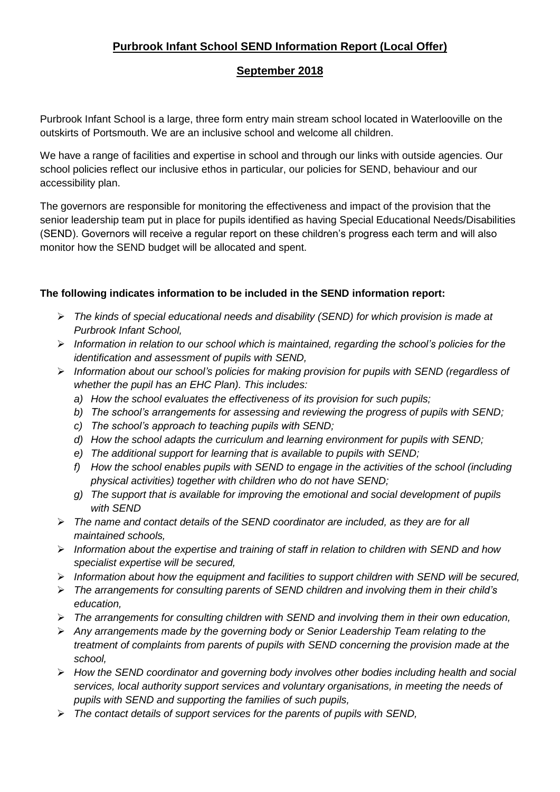# **Purbrook Infant School SEND Information Report (Local Offer)**

# **September 2018**

Purbrook Infant School is a large, three form entry main stream school located in Waterlooville on the outskirts of Portsmouth. We are an inclusive school and welcome all children.

We have a range of facilities and expertise in school and through our links with outside agencies. Our school policies reflect our inclusive ethos in particular, our policies for SEND, behaviour and our accessibility plan.

The governors are responsible for monitoring the effectiveness and impact of the provision that the senior leadership team put in place for pupils identified as having Special Educational Needs/Disabilities (SEND). Governors will receive a regular report on these children's progress each term and will also monitor how the SEND budget will be allocated and spent.

## **The following indicates information to be included in the SEND information report:**

- *The kinds of special educational needs and disability (SEND) for which provision is made at Purbrook Infant School,*
- *Information in relation to our school which is maintained, regarding the school's policies for the identification and assessment of pupils with SEND,*
- *Information about our school's policies for making provision for pupils with SEND (regardless of whether the pupil has an EHC Plan). This includes:*
	- *a) How the school evaluates the effectiveness of its provision for such pupils;*
	- *b) The school's arrangements for assessing and reviewing the progress of pupils with SEND;*
	- *c) The school's approach to teaching pupils with SEND;*
	- *d) How the school adapts the curriculum and learning environment for pupils with SEND;*
	- *e) The additional support for learning that is available to pupils with SEND;*
	- *f) How the school enables pupils with SEND to engage in the activities of the school (including physical activities) together with children who do not have SEND;*
	- *g) The support that is available for improving the emotional and social development of pupils with SEND*
- *The name and contact details of the SEND coordinator are included, as they are for all maintained schools,*
- *Information about the expertise and training of staff in relation to children with SEND and how specialist expertise will be secured,*
- *Information about how the equipment and facilities to support children with SEND will be secured,*
- *The arrangements for consulting parents of SEND children and involving them in their child's education,*
- *The arrangements for consulting children with SEND and involving them in their own education,*
- *Any arrangements made by the governing body or Senior Leadership Team relating to the treatment of complaints from parents of pupils with SEND concerning the provision made at the school,*
- *How the SEND coordinator and governing body involves other bodies including health and social services, local authority support services and voluntary organisations, in meeting the needs of pupils with SEND and supporting the families of such pupils,*
- *The contact details of support services for the parents of pupils with SEND,*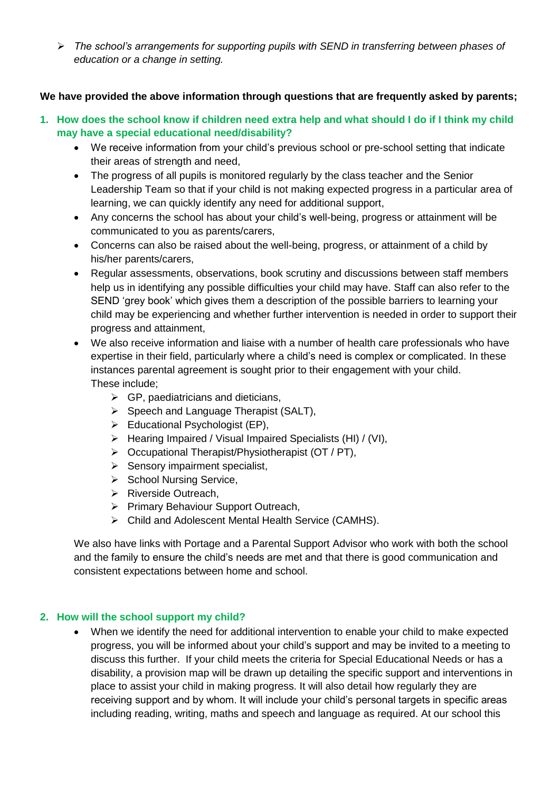*The school's arrangements for supporting pupils with SEND in transferring between phases of education or a change in setting.*

#### **We have provided the above information through questions that are frequently asked by parents;**

- **1. How does the school know if children need extra help and what should I do if I think my child may have a special educational need/disability?**
	- We receive information from your child's previous school or pre-school setting that indicate their areas of strength and need,
	- The progress of all pupils is monitored regularly by the class teacher and the Senior Leadership Team so that if your child is not making expected progress in a particular area of learning, we can quickly identify any need for additional support,
	- Any concerns the school has about your child's well-being, progress or attainment will be communicated to you as parents/carers,
	- Concerns can also be raised about the well-being, progress, or attainment of a child by his/her parents/carers,
	- Regular assessments, observations, book scrutiny and discussions between staff members help us in identifying any possible difficulties your child may have. Staff can also refer to the SEND 'grey book' which gives them a description of the possible barriers to learning your child may be experiencing and whether further intervention is needed in order to support their progress and attainment,
	- We also receive information and liaise with a number of health care professionals who have expertise in their field, particularly where a child's need is complex or complicated. In these instances parental agreement is sought prior to their engagement with your child. These include;
		- $\triangleright$  GP, paediatricians and dieticians,
		- $\triangleright$  Speech and Language Therapist (SALT),
		- $\triangleright$  Educational Psychologist (EP),
		- $\triangleright$  Hearing Impaired / Visual Impaired Specialists (HI) / (VI),
		- $\triangleright$  Occupational Therapist/Physiotherapist (OT / PT),
		- $\triangleright$  Sensory impairment specialist,
		- $\triangleright$  School Nursing Service,
		- $\triangleright$  Riverside Outreach,
		- Primary Behaviour Support Outreach,
		- Child and Adolescent Mental Health Service (CAMHS).

We also have links with Portage and a Parental Support Advisor who work with both the school and the family to ensure the child's needs are met and that there is good communication and consistent expectations between home and school.

#### **2. How will the school support my child?**

 When we identify the need for additional intervention to enable your child to make expected progress, you will be informed about your child's support and may be invited to a meeting to discuss this further. If your child meets the criteria for Special Educational Needs or has a disability, a provision map will be drawn up detailing the specific support and interventions in place to assist your child in making progress. It will also detail how regularly they are receiving support and by whom. It will include your child's personal targets in specific areas including reading, writing, maths and speech and language as required. At our school this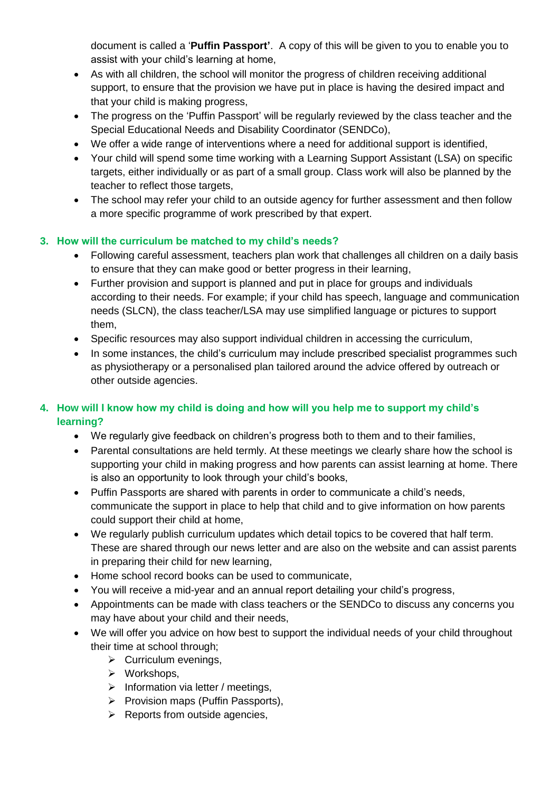document is called a '**Puffin Passport'**. A copy of this will be given to you to enable you to assist with your child's learning at home,

- As with all children, the school will monitor the progress of children receiving additional support, to ensure that the provision we have put in place is having the desired impact and that your child is making progress,
- The progress on the 'Puffin Passport' will be regularly reviewed by the class teacher and the Special Educational Needs and Disability Coordinator (SENDCo),
- We offer a wide range of interventions where a need for additional support is identified,
- Your child will spend some time working with a Learning Support Assistant (LSA) on specific targets, either individually or as part of a small group. Class work will also be planned by the teacher to reflect those targets,
- The school may refer your child to an outside agency for further assessment and then follow a more specific programme of work prescribed by that expert.

#### **3. How will the curriculum be matched to my child's needs?**

- Following careful assessment, teachers plan work that challenges all children on a daily basis to ensure that they can make good or better progress in their learning,
- Further provision and support is planned and put in place for groups and individuals according to their needs. For example; if your child has speech, language and communication needs (SLCN), the class teacher/LSA may use simplified language or pictures to support them,
- Specific resources may also support individual children in accessing the curriculum,
- In some instances, the child's curriculum may include prescribed specialist programmes such as physiotherapy or a personalised plan tailored around the advice offered by outreach or other outside agencies.

# **4. How will I know how my child is doing and how will you help me to support my child's learning?**

- We regularly give feedback on children's progress both to them and to their families,
- Parental consultations are held termly. At these meetings we clearly share how the school is supporting your child in making progress and how parents can assist learning at home. There is also an opportunity to look through your child's books,
- Puffin Passports are shared with parents in order to communicate a child's needs, communicate the support in place to help that child and to give information on how parents could support their child at home,
- We regularly publish curriculum updates which detail topics to be covered that half term. These are shared through our news letter and are also on the website and can assist parents in preparing their child for new learning,
- Home school record books can be used to communicate,
- You will receive a mid-year and an annual report detailing your child's progress,
- Appointments can be made with class teachers or the SENDCo to discuss any concerns you may have about your child and their needs,
- We will offer you advice on how best to support the individual needs of your child throughout their time at school through;
	- $\triangleright$  Curriculum evenings,
	- $\triangleright$  Workshops,
	- $\triangleright$  Information via letter / meetings,
	- $\triangleright$  Provision maps (Puffin Passports),
	- $\triangleright$  Reports from outside agencies,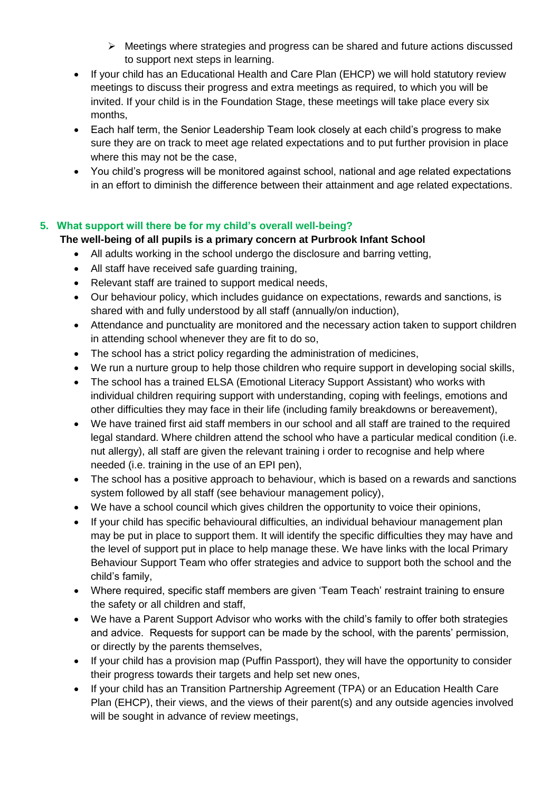- $\triangleright$  Meetings where strategies and progress can be shared and future actions discussed to support next steps in learning.
- If your child has an Educational Health and Care Plan (EHCP) we will hold statutory review meetings to discuss their progress and extra meetings as required, to which you will be invited. If your child is in the Foundation Stage, these meetings will take place every six months,
- Each half term, the Senior Leadership Team look closely at each child's progress to make sure they are on track to meet age related expectations and to put further provision in place where this may not be the case,
- You child's progress will be monitored against school, national and age related expectations in an effort to diminish the difference between their attainment and age related expectations.

## **5. What support will there be for my child's overall well-being?**

## **The well-being of all pupils is a primary concern at Purbrook Infant School**

- All adults working in the school undergo the disclosure and barring vetting,
- All staff have received safe quarding training,
- Relevant staff are trained to support medical needs,
- Our behaviour policy, which includes guidance on expectations, rewards and sanctions, is shared with and fully understood by all staff (annually/on induction),
- Attendance and punctuality are monitored and the necessary action taken to support children in attending school whenever they are fit to do so,
- The school has a strict policy regarding the administration of medicines,
- We run a nurture group to help those children who require support in developing social skills,
- The school has a trained ELSA (Emotional Literacy Support Assistant) who works with individual children requiring support with understanding, coping with feelings, emotions and other difficulties they may face in their life (including family breakdowns or bereavement),
- We have trained first aid staff members in our school and all staff are trained to the required legal standard. Where children attend the school who have a particular medical condition (i.e. nut allergy), all staff are given the relevant training i order to recognise and help where needed (i.e. training in the use of an EPI pen),
- The school has a positive approach to behaviour, which is based on a rewards and sanctions system followed by all staff (see behaviour management policy),
- We have a school council which gives children the opportunity to voice their opinions,
- If your child has specific behavioural difficulties, an individual behaviour management plan may be put in place to support them. It will identify the specific difficulties they may have and the level of support put in place to help manage these. We have links with the local Primary Behaviour Support Team who offer strategies and advice to support both the school and the child's family,
- Where required, specific staff members are given 'Team Teach' restraint training to ensure the safety or all children and staff,
- We have a Parent Support Advisor who works with the child's family to offer both strategies and advice. Requests for support can be made by the school, with the parents' permission, or directly by the parents themselves,
- If your child has a provision map (Puffin Passport), they will have the opportunity to consider their progress towards their targets and help set new ones,
- If your child has an Transition Partnership Agreement (TPA) or an Education Health Care Plan (EHCP), their views, and the views of their parent(s) and any outside agencies involved will be sought in advance of review meetings,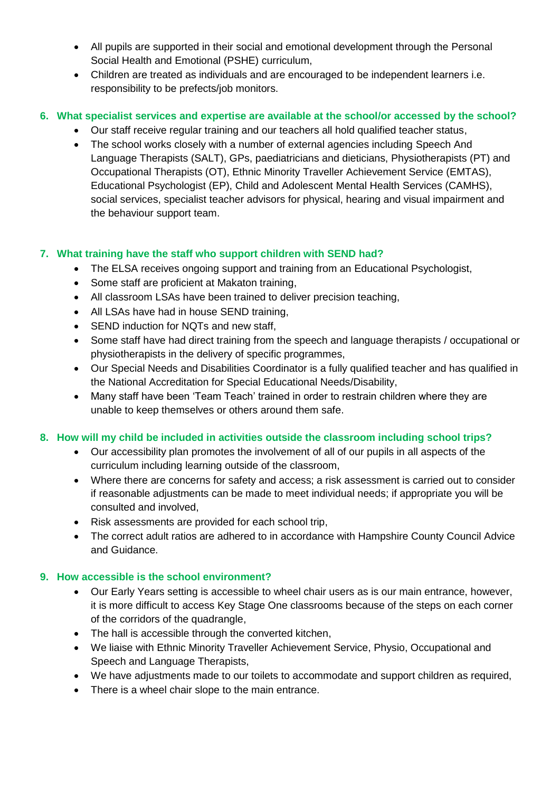- All pupils are supported in their social and emotional development through the Personal Social Health and Emotional (PSHE) curriculum,
- Children are treated as individuals and are encouraged to be independent learners i.e. responsibility to be prefects/job monitors.

#### **6. What specialist services and expertise are available at the school/or accessed by the school?**

- Our staff receive regular training and our teachers all hold qualified teacher status,
- The school works closely with a number of external agencies including Speech And Language Therapists (SALT), GPs, paediatricians and dieticians, Physiotherapists (PT) and Occupational Therapists (OT), Ethnic Minority Traveller Achievement Service (EMTAS), Educational Psychologist (EP), Child and Adolescent Mental Health Services (CAMHS), social services, specialist teacher advisors for physical, hearing and visual impairment and the behaviour support team.

# **7. What training have the staff who support children with SEND had?**

- The ELSA receives ongoing support and training from an Educational Psychologist,
- Some staff are proficient at Makaton training,
- All classroom LSAs have been trained to deliver precision teaching,
- All LSAs have had in house SEND training,
- SEND induction for NQTs and new staff.
- Some staff have had direct training from the speech and language therapists / occupational or physiotherapists in the delivery of specific programmes,
- Our Special Needs and Disabilities Coordinator is a fully qualified teacher and has qualified in the National Accreditation for Special Educational Needs/Disability,
- Many staff have been 'Team Teach' trained in order to restrain children where they are unable to keep themselves or others around them safe.

# **8. How will my child be included in activities outside the classroom including school trips?**

- Our accessibility plan promotes the involvement of all of our pupils in all aspects of the curriculum including learning outside of the classroom,
- Where there are concerns for safety and access; a risk assessment is carried out to consider if reasonable adjustments can be made to meet individual needs; if appropriate you will be consulted and involved,
- Risk assessments are provided for each school trip,
- The correct adult ratios are adhered to in accordance with Hampshire County Council Advice and Guidance.

#### **9. How accessible is the school environment?**

- Our Early Years setting is accessible to wheel chair users as is our main entrance, however, it is more difficult to access Key Stage One classrooms because of the steps on each corner of the corridors of the quadrangle,
- The hall is accessible through the converted kitchen,
- We liaise with Ethnic Minority Traveller Achievement Service, Physio, Occupational and Speech and Language Therapists,
- We have adjustments made to our toilets to accommodate and support children as required,
- There is a wheel chair slope to the main entrance.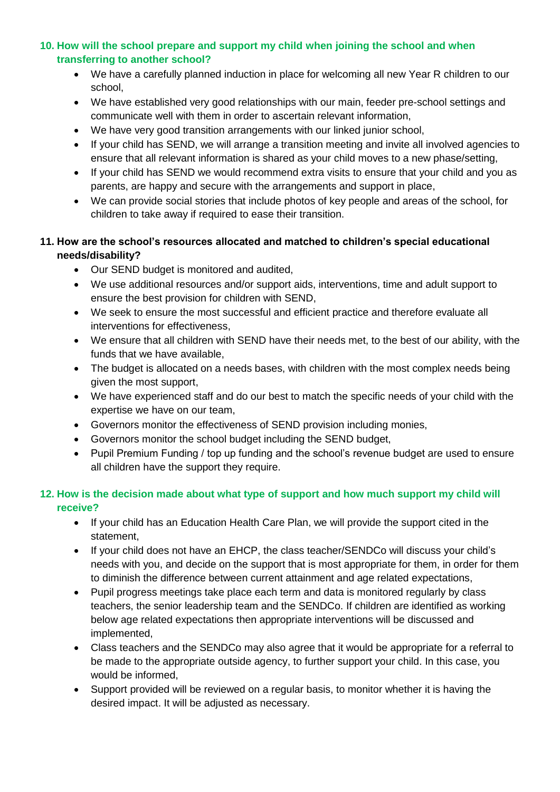## **10. How will the school prepare and support my child when joining the school and when transferring to another school?**

- We have a carefully planned induction in place for welcoming all new Year R children to our school,
- We have established very good relationships with our main, feeder pre-school settings and communicate well with them in order to ascertain relevant information,
- We have very good transition arrangements with our linked junior school,
- If your child has SEND, we will arrange a transition meeting and invite all involved agencies to ensure that all relevant information is shared as your child moves to a new phase/setting,
- If your child has SEND we would recommend extra visits to ensure that your child and you as parents, are happy and secure with the arrangements and support in place,
- We can provide social stories that include photos of key people and areas of the school, for children to take away if required to ease their transition.

## **11. How are the school's resources allocated and matched to children's special educational needs/disability?**

- Our SEND budget is monitored and audited,
- We use additional resources and/or support aids, interventions, time and adult support to ensure the best provision for children with SEND,
- We seek to ensure the most successful and efficient practice and therefore evaluate all interventions for effectiveness,
- We ensure that all children with SEND have their needs met, to the best of our ability, with the funds that we have available,
- The budget is allocated on a needs bases, with children with the most complex needs being given the most support,
- We have experienced staff and do our best to match the specific needs of your child with the expertise we have on our team,
- Governors monitor the effectiveness of SEND provision including monies,
- Governors monitor the school budget including the SEND budget,
- Pupil Premium Funding / top up funding and the school's revenue budget are used to ensure all children have the support they require.

#### **12. How is the decision made about what type of support and how much support my child will receive?**

- If your child has an Education Health Care Plan, we will provide the support cited in the statement,
- If your child does not have an EHCP, the class teacher/SENDCo will discuss your child's needs with you, and decide on the support that is most appropriate for them, in order for them to diminish the difference between current attainment and age related expectations,
- Pupil progress meetings take place each term and data is monitored regularly by class teachers, the senior leadership team and the SENDCo. If children are identified as working below age related expectations then appropriate interventions will be discussed and implemented,
- Class teachers and the SENDCo may also agree that it would be appropriate for a referral to be made to the appropriate outside agency, to further support your child. In this case, you would be informed,
- Support provided will be reviewed on a regular basis, to monitor whether it is having the desired impact. It will be adjusted as necessary.